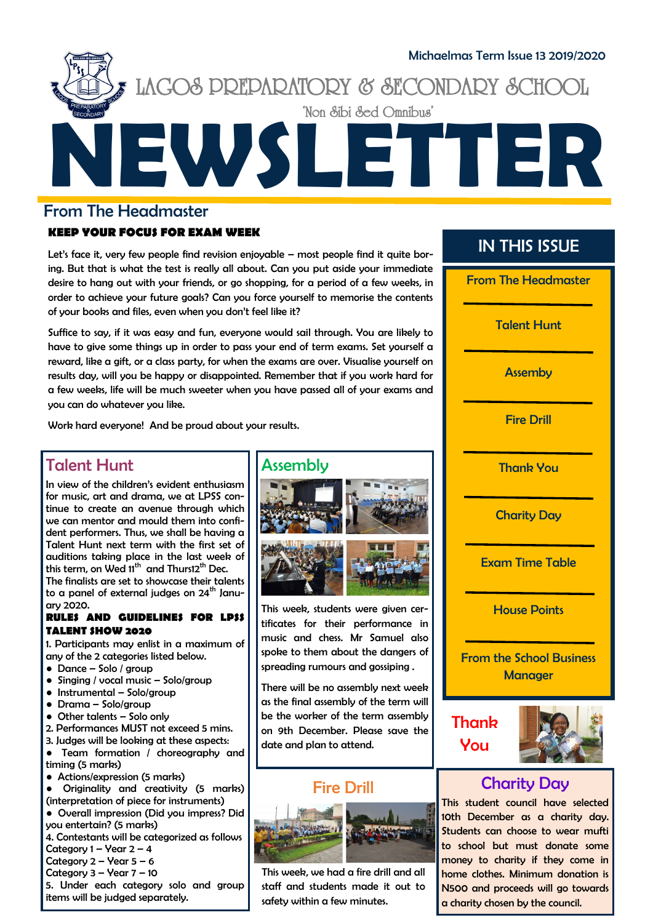

#### From The Headmaster

#### **KEEP YOUR FOCUS FOR EXAM WEEK**

Let's face it, very few people find revision enjoyable – most people find it quite boring. But that is what the test is really all about. Can you put aside your immediate desire to hang out with your friends, or go shopping, for a period of a few weeks, in order to achieve your future goals? Can you force yourself to memorise the contents of your books and files, even when you don't feel like it?

Suffice to say, if it was easy and fun, everyone would sail through. You are likely to have to give some things up in order to pass your end of term exams. Set yourself a reward, like a gift, or a class party, for when the exams are over. Visualise yourself on results day, will you be happy or disappointed. Remember that if you work hard for a few weeks, life will be much sweeter when you have passed all of your exams and you can do whatever you like.

Work hard everyone! And be proud about your results.

### Talent Hunt

In view of the children's evident enthusiasm for music, art and drama, we at LPSS continue to create an avenue through which we can mentor and mould them into confident performers. Thus, we shall be having a Talent Hunt next term with the first set of auditions taking place in the last week of this term, on Wed 11<sup>th</sup> and Thurs12<sup>th</sup> Dec. The finalists are set to showcase their talents to a panel of external judges on  $24<sup>th</sup>$  January 2020.

#### **RULES AND GUIDELINES FOR LPSS TALENT SHOW 2020**

1. Participants may enlist in a maximum of any of the 2 categories listed below.

- Dance Solo / group
- $\bullet$  Singing / vocal music Solo/group
- Instrumental Solo/group
- Drama Solo/group
- Other talents Solo only
- 2. Performances MUST not exceed 5 mins.
- 3. Judges will be looking at these aspects:
- Team formation / choreography and timing (5 marks)
- Actions/expression (5 marks)

● Originality and creativity (5 marks) (interpretation of piece for instruments)

- Overall impression (Did you impress? Did you entertain? (5 marks)
- 4. Contestants will be categorized as follows
- Category  $1 -$  Year  $2 4$
- Category  $2 -$  Year  $5 6$
- Category  $3 \sqrt{2}$  7 10

5. Under each category solo and group items will be judged separately.

#### Assembly



This week, students were given certificates for their performance in music and chess. Mr Samuel also spoke to them about the dangers of spreading rumours and gossiping .

There will be no assembly next week as the final assembly of the term will be the worker of the term assembly on 9th December. Please save the date and plan to attend.

# Fire Drill



This week, we had a fire drill and all staff and students made it out to safety within a few minutes.

# IN THIS ISSUE



# Charity Day

This student council have selected 10th December as a charity day. Students can choose to wear mufti to school but must donate some money to charity if they come in home clothes. Minimum donation is N500 and proceeds will go towards a charity chosen by the council.